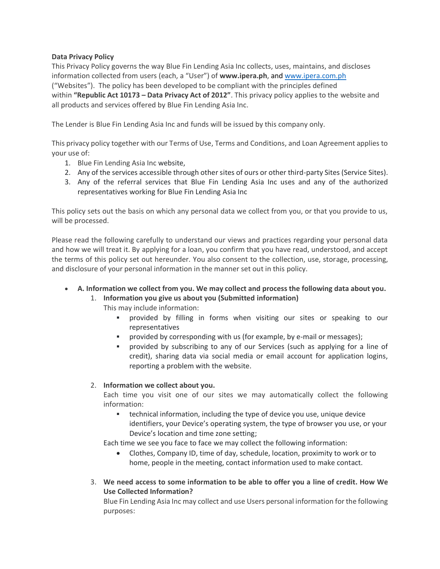# **Data Privacy Policy**

This Privacy Policy governs the way Blue Fin Lending Asia Inc collects, uses, maintains, and discloses information collected from users (each, a "User") of **www.ipera.ph**, and [www.ipera.com.ph](http://www.ipera.com.ph/) ("Websites"). The policy has been developed to be compliant with the principles defined within **"Republic Act 10173 – Data Privacy Act of 2012"**. This privacy policy applies to the website and all products and services offered by Blue Fin Lending Asia Inc.

The Lender is Blue Fin Lending Asia Inc and funds will be issued by this company only.

This privacy policy together with our Terms of Use, Terms and Conditions, and Loan Agreement applies to your use of:

- 1. Blue Fin Lending Asia Inc website,
- 2. Any of the services accessible through other sites of ours or other third-party Sites (Service Sites).
- 3. Any of the referral services that Blue Fin Lending Asia Inc uses and any of the authorized representatives working for Blue Fin Lending Asia Inc

This policy sets out the basis on which any personal data we collect from you, or that you provide to us, will be processed.

Please read the following carefully to understand our views and practices regarding your personal data and how we will treat it. By applying for a loan, you confirm that you have read, understood, and accept the terms of this policy set out hereunder. You also consent to the collection, use, storage, processing, and disclosure of your personal information in the manner set out in this policy.

• **A. Information we collect from you. We may collect and process the following data about you.**

### 1. **Information you give us about you (Submitted information)**

This may include information:

- provided by filling in forms when visiting our sites or speaking to our representatives
- provided by corresponding with us (for example, by e-mail or messages);
- provided by subscribing to any of our Services (such as applying for a line of credit), sharing data via social media or email account for application logins, reporting a problem with the website.

### 2. **Information we collect about you.**

Each time you visit one of our sites we may automatically collect the following information:

technical information, including the type of device you use, unique device identifiers, your Device's operating system, the type of browser you use, or your Device's location and time zone setting;

Each time we see you face to face we may collect the following information:

- Clothes, Company ID, time of day, schedule, location, proximity to work or to home, people in the meeting, contact information used to make contact.
- 3. **We need access to some information to be able to offer you a line of credit. How We Use Collected Information?**

Blue Fin Lending Asia Inc may collect and use Users personal information for the following purposes: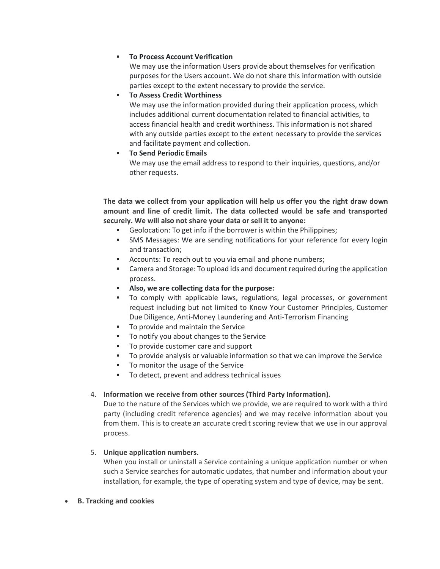## ▪ **To Process Account Verification**

We may use the information Users provide about themselves for verification purposes for the Users account. We do not share this information with outside parties except to the extent necessary to provide the service.

# **To Assess Credit Worthiness**

We may use the information provided during their application process, which includes additional current documentation related to financial activities, to access financial health and credit worthiness. This information is not shared with any outside parties except to the extent necessary to provide the services and facilitate payment and collection.

# **To Send Periodic Emails**

We may use the email address to respond to their inquiries, questions, and/or other requests.

**The data we collect from your application will help us offer you the right draw down amount and line of credit limit. The data collected would be safe and transported securely. We will also not share your data or sell it to anyone:**

- Geolocation: To get info if the borrower is within the Philippines;
- **•** SMS Messages: We are sending notifications for your reference for every login and transaction;
- Accounts: To reach out to you via email and phone numbers;
- **•** Camera and Storage: To upload ids and document required during the application process.
- **Also, we are collecting data for the purpose:**
- To comply with applicable laws, regulations, legal processes, or government request including but not limited to Know Your Customer Principles, Customer Due Diligence, Anti-Money Laundering and Anti-Terrorism Financing
- To provide and maintain the Service
- To notify you about changes to the Service
- To provide customer care and support
- To provide analysis or valuable information so that we can improve the Service
- To monitor the usage of the Service
- To detect, prevent and address technical issues

### 4. **Information we receive from other sources (Third Party Information).**

Due to the nature of the Services which we provide, we are required to work with a third party (including credit reference agencies) and we may receive information about you from them. This is to create an accurate credit scoring review that we use in our approval process.

### 5. **Unique application numbers.**

When you install or uninstall a Service containing a unique application number or when such a Service searches for automatic updates, that number and information about your installation, for example, the type of operating system and type of device, may be sent.

### • **B. Tracking and cookies**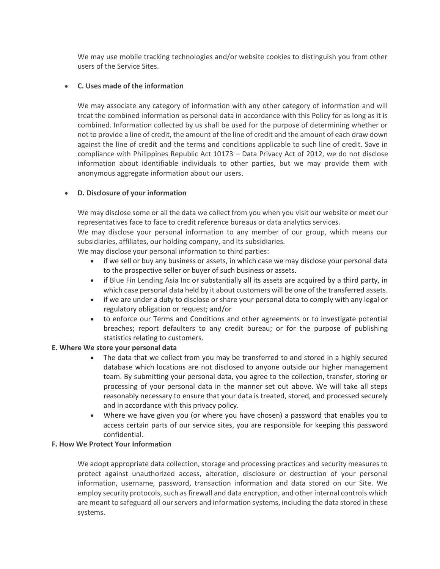We may use mobile tracking technologies and/or website cookies to distinguish you from other users of the Service Sites.

### • **C. Uses made of the information**

We may associate any category of information with any other category of information and will treat the combined information as personal data in accordance with this Policy for as long as it is combined. Information collected by us shall be used for the purpose of determining whether or not to provide a line of credit, the amount of the line of credit and the amount of each draw down against the line of credit and the terms and conditions applicable to such line of credit. Save in compliance with Philippines Republic Act 10173 – Data Privacy Act of 2012, we do not disclose information about identifiable individuals to other parties, but we may provide them with anonymous aggregate information about our users.

### • **D. Disclosure of your information**

We may disclose some or all the data we collect from you when you visit our website or meet our representatives face to face to credit reference bureaus or data analytics services.

We may disclose your personal information to any member of our group, which means our subsidiaries, affiliates, our holding company, and its subsidiaries.

We may disclose your personal information to third parties:

- if we sell or buy any business or assets, in which case we may disclose your personal data to the prospective seller or buyer of such business or assets.
- if Blue Fin Lending Asia Inc or substantially all its assets are acquired by a third party, in which case personal data held by it about customers will be one of the transferred assets.
- if we are under a duty to disclose or share your personal data to comply with any legal or regulatory obligation or request; and/or
- to enforce our Terms and Conditions and other agreements or to investigate potential breaches; report defaulters to any credit bureau; or for the purpose of publishing statistics relating to customers.

### **E. Where We store your personal data**

- The data that we collect from you may be transferred to and stored in a highly secured database which locations are not disclosed to anyone outside our higher management team. By submitting your personal data, you agree to the collection, transfer, storing or processing of your personal data in the manner set out above. We will take all steps reasonably necessary to ensure that your data is treated, stored, and processed securely and in accordance with this privacy policy.
- Where we have given you (or where you have chosen) a password that enables you to access certain parts of our service sites, you are responsible for keeping this password confidential.

#### **F. How We Protect Your Information**

We adopt appropriate data collection, storage and processing practices and security measures to protect against unauthorized access, alteration, disclosure or destruction of your personal information, username, password, transaction information and data stored on our Site. We employ security protocols, such as firewall and data encryption, and other internal controls which are meant to safeguard all our servers and information systems, including the data stored in these systems.